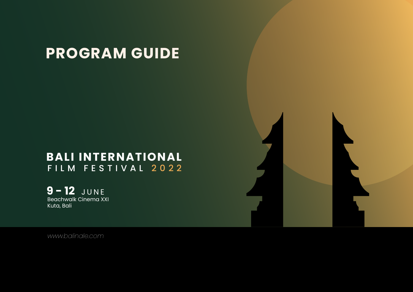Beachwalk Cinema XXI Kuta, Bali **9 - 12** JUNE

# **PROGRAM GUIDE**

# **BALI INTERNATIONAL** FILM FESTIVAL 2022

*www.balinale.com*

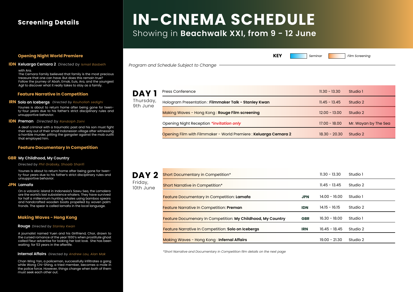Hologram Presentation : **Filmmaker Talk - Stanley Kwan**

Making Waves - Hong Kong : **Rouge Film screening**

Opening Night Reception *\*invitation only*

**DAY 1** Press Conference Thursday, 9th June

Opening Film with Filmmaker - World Premiere : **Keluarga Cemara 2**

| $11.30 - 13.30$ | Studio 1             |
|-----------------|----------------------|
| $11.45 - 13.45$ | Studio 2             |
| $12.00 - 13.00$ | Studio 2             |
| 17.00 - 18.00   | Mr. Wayan by The Sea |
| $18.30 - 20.30$ | Studio 2             |

| 11.30 - 13.30   | Studio 1 |  |
|-----------------|----------|--|
| 11.45 - 13.45   | Studio 2 |  |
| 14.00 - 16.00   | Studio 1 |  |
| $14.15 - 16.15$ | Studio 2 |  |
| $16.30 - 18.00$ | Studio 1 |  |
| $16.45 - 18.45$ | Studio 2 |  |
| $19.00 - 21.30$ | Studio 2 |  |

Friday, 10th June

# **IN-CINEMA SCHEDULE** Showing in **Beachwalk XXI, from 9 - 12 June**

#### **Feature Narrative In Competition**

Younes is about to return home after being gone for twenty-four years due to his father's strict disciplinary rules and unsupportive behavior.

A deaf criminal with a traumatic past and his son must fight their way out of their small Indonesian village after witnessing a horrible murder, pitting the gangster against the mob outfit that employed him.

| DAY <sub>2</sub>     | <b>Short Documentary in Competition*</b>                           |            | $11.30 - 13.30$ |
|----------------------|--------------------------------------------------------------------|------------|-----------------|
| Friday,<br>10th June | <b>Short Narrative in Competition*</b>                             |            | $11.45 - 13.45$ |
|                      | Feature Documentary In Competition: Lamafa                         | <b>JPN</b> | $14.00 - 16.0$  |
|                      | <b>Feature Narrative In Competition: Preman</b>                    | <b>IDN</b> | $14.15 - 16.15$ |
|                      | <b>Feature Documenary In Competition: My Childhood, My Country</b> | <b>GBR</b> | $16.30 - 18.0$  |
|                      | <b>Feature Narrative In Competition: Solo on Icebergs</b>          | <b>IRN</b> | $16.45 - 18.4$  |
|                      | Making Waves - Hong Kong: Infernal Affairs                         |            | $19.00 - 21.30$ |

## **Screening Details**

#### **Feature Documentary In Competition**

Younes is about to return home after being gone for twenty-four years due to his father's strict disciplinary rules and unsupportive behavior.

#### *Directed by Phil Grabsky, Shoaib Sharifi*

### **Solo on Icebergs** *Directed by Rouhollah sedighi* **IRN**

On a volcanic island in Indonesia's Sawu Sea, the Lamalera are the world's last subsistence whalers. They have survived for half a millennium hunting whales using bamboo spears and handcrafted wooden boats propelled by woven palm fronds. The spear is called lamafa in the local language.

#### **Preman** *Directed by Randolph Zaini* **IDN**

A journalist named Yuen and his Girlfriend, Chor, drawn to the cursed romance of the year 1930's when prostitute ghost called Fleur advertise for looking her lost love. She has been waiting for 53 years in the afterlife.

#### **Rouge** *Directed by Stanley Kwan*

## **My Childhood, My Country GBR**

#### **Lamafa JPN**

Chan Wing Yan, a policeman, successfully infiltrates a gang while Wong Chi-Shing, a tried member, becomes a mole in the police force. However, things change when both of them must seek each other out.

### **Internal Affairs** *Directed by Andrew Lau, Alan Mak*

## **Making Waves - Hong Kong**

### **Opening Night World Premiere KEY** *Seminar Film Screening*

with Ara.

The Cemara Family believed that family is the most precious treasure that one can have. But does this remain true? Follow the journey of Abah, Emak, Euis, Ara, and the youngest Agil to discover what it really takes to stay as a family.

#### **Keluarga Cemara 2 IDN** *Directed by Ismail Basbeth*

*\*Short Narrative and Documentary in Competition film details on the next page*



*Program and Schedule Subject to Change*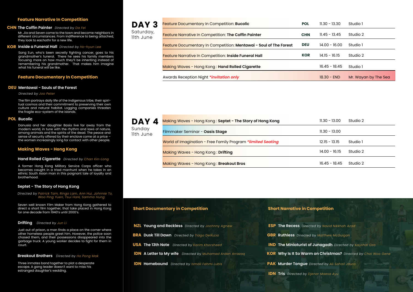Awards Reception Night *\*invitation only*

## Saturday, 11th June

| <b>DAY</b><br>$\boldsymbol{\Lambda}$ | Making Waves - Hong Kong: Septet - The Story of Hong Kong   | $11.30 - 13.00$ | Studio 2 |
|--------------------------------------|-------------------------------------------------------------|-----------------|----------|
| Sunday<br>llth June                  | Filmmaker Seminar - Oasis Stage                             | $11.30 - 13.00$ |          |
|                                      | World of Imagination - Free Family Program *limited Seating | $12.15 - 13.15$ | Studio 1 |
|                                      | Making Waves - Hong Kong: Drifting                          | $14.00 - 16.15$ | Studio 2 |
|                                      | Making Waves - Hong Kong: Breakout Bros                     | $16.45 - 18.45$ | Studio 2 |

11th June

#### **Feature Narrative In Competition**

Mr. Jia and Seven come to the town and become neighbors in different circumstances. From indifference to being attached, they look to eachothr for a new life.

Sang Eun, who's been secretly fighting cancer, goes to his grandmother's funeral. There he sees his family members focusing more on how much they'll be inheriting instead of remembering his grandmother. That makes him imagine what his funeral will be like.

#### **Feature Documentary In Competition**

| DAY <sub>3</sub>       | <b>Feature Documentary In Competition: Bucolic</b>                | <b>POL</b> | $11.30 - 13.30$ | Studio 1             |
|------------------------|-------------------------------------------------------------------|------------|-----------------|----------------------|
| Saturday,<br>llth June | <b>Feature Narrative In Competition: The Coffin Painter</b>       | <b>CHN</b> | $11.45 - 13.45$ | Studio 2             |
|                        | Feature Documentary In Competition: Mentawai - Soul of The Forest | <b>DEU</b> | $14.00 - 16.00$ | Studio 1             |
|                        | <b>Feature Narrative In Competition: Inside Funeral Hall</b>      | <b>KOR</b> | $14.15 - 16.15$ | Studio 2             |
|                        | Making Waves - Hong Kong: Hand Rolled Cigarette                   |            | $16.45 - 18.45$ | Studio 1             |
|                        | Awards Reception Night *invitation only                           |            | $18.30 - END$   | Mr. Wayan by The Sea |

The film portrays daily life of the indigenous tribe, their spiritual cosmos and their commitment to preserving their own culture and natural habitat. Logging companies threaten the fragile eco-system of the islands.

*Directed by Patrick Tam, Ringo Lam, Ann Hui, Johnnie To, Woo Ping Yuen, Tsui Hark, Sammo Hung* 

#### *Directed by Joo Peter*

#### *Directed by Chan Kin-Long*  **Hand Rolled Cigarette**

#### **The Coffin Painter** *Directed by Da Fei* **CHN**

Danusia and her daughter Basia live far away from the modern world, in tune with the rhythm and laws of nature, among animals and the spirits of the dead. The peace and sense of security offered by their enclave come at a price – the women increasingly long for contact with other people.

#### **Inside a Funeral Hall** *Directed by Ho-hyun Lee* **KOR**

#### *Directed by Jun Li* **Drifting**

#### **Mentawai - Souls of the Forest DEU**

#### *Directed by Ho Pong Mak* **Breakout Brothers**

A former Hong Kong Military Service Corps officer who becomes caught in a triad manhunt when he takes in an ethnic South Asian man in this poignant tale of loyalty and brotherhood.

#### **Septet - The Story of Hong Kong**

#### **Bucolic POL**

Seven well known Film Maker from Hong Kong gathered to direct a short film together, that take placed in Hong Kong for one decade from 1940's until 2000's.

Just out of prison, a man finds a place on the corner where other homeless people greet him. However, the police soon chased them, and their possessions disappeared into the garbage truck. A young worker decides to fight for them in court.

Three inmates band together to plot a desperate escape. A gang leader doesn't want to miss his estranged daughter's wedding.

#### **Making Waves - Hong Kong**

#### **Short Documentary in Competition Short Narrative in Competition**

| <b>NZL Young and Reckless</b> Directed by Joohnny Agnew          | <b>ESP Th</b> |
|------------------------------------------------------------------|---------------|
| <b>BRA Dusk Till Dawn</b> Directed by Tiago DelÂjcio             | <b>GBR Ru</b> |
| <b>USA The 13th Note</b> Directed by Karim Khorsheed             | <b>IND Th</b> |
| <b>IDN A Letter to My wife</b> Directed by Muhamad Ardan Arrazag | <b>KOR W</b>  |
| <b>IDN Homebound</b> Directed by Ismail Fahmi Lubis              | <b>PAK MI</b> |

**ESP The Recess**  *Directed by Navid Nikkhah Azad*  **GBR Ruthless** *Directed by Matthew McGuigan* **IND The Miniaturist of Junagadh** *Directed by Kaushal Oza* **KOR Why Is It So Warm on Christmas?** *Directed by Choi Woo Gene* **PAK Murder Tongue**  *Directed by Ali Sohail Jaura* **IDN Tris** *Directed by Djenar Maesa Ayu*

- 
- 
- 
-